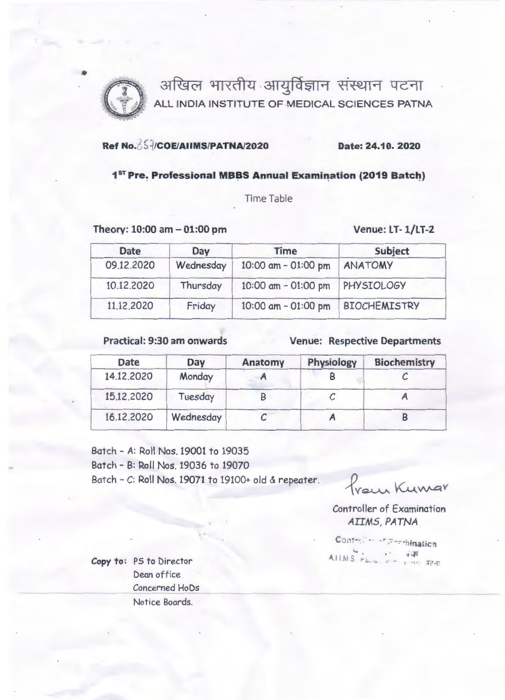

अखिल भारतीय आयुर्विज्ञान संस्थान पटना ALL INDIA INSTITUTE OF MEDICAL SCIENCES PATNA

## Ref No.  $\frac{25}{1}$ /COE/AllMS/PATNA/2020 Date: 24.10. 2020

## 1<sup>st</sup> Pre. Professional MBBS Annual Examination (2019 Batch)

**Time Table** 

Theory: 10:00 am - 01:00 pm Venue: LT- 1/LT-2

| <b>Date</b>          | Day       | <b>Time</b>         | Subject<br><b>ANATOMY</b> |  |
|----------------------|-----------|---------------------|---------------------------|--|
| 09.12.2020           | Wednesday | 10:00 am - 01:00 pm |                           |  |
| 10.12.2020           | Thursday  | 10:00 am - 01:00 pm | PHYSIOLOGY                |  |
| 11.12.2020<br>Friday |           | 10:00 am - 01:00 pm | <b>BIOCHEMISTRY</b>       |  |

Practical: 9:30 am onwards Venue: Respective Departments

| <b>Date</b> | Day       | Anatomy | <b>Physiology</b> | <b>Biochemistry</b> |
|-------------|-----------|---------|-------------------|---------------------|
| 14.12.2020  | Monday    |         |                   |                     |
| 15.12.2020  | Tuesday   |         |                   |                     |
| 16.12.2020  | Wednesday |         |                   |                     |

Batch - A: Roll Nos. 19001 to 19035 Batch - B: Roll Nos. 19036 to 19070 Batch - C: Roll Nos. 19071 to 19100+ old & repeater.

Prain Kumar

Controller of Examination *AI IMS, PATNA* 

Controller of Permination  $A.H.M.S.$  Paula, JILE LURISTICS REAL

Copy to: PS to Director Dean office Concerned HoDs Notice Boards.